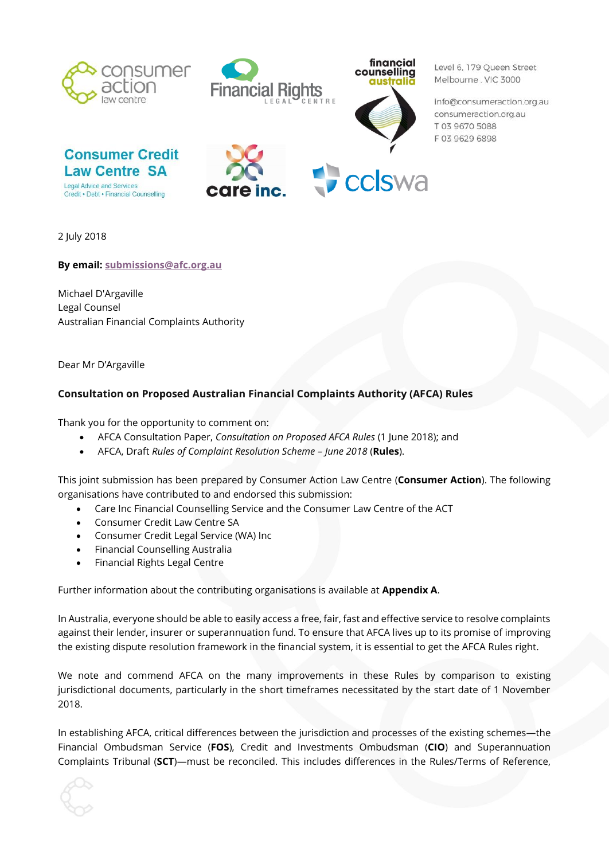





Level 6, 179 Oueen Street Melbourne, VIC 3000

info@consumeraction.org.au consumeraction.org.au T 03 9670 5088 F0396296898





2 July 2018

**By email: [submissions@afc.org.au](mailto:submissions@afc.org.au)**

Michael D'Argaville Legal Counsel Australian Financial Complaints Authority

Dear Mr D'Argaville

# **Consultation on Proposed Australian Financial Complaints Authority (AFCA) Rules**

Thank you for the opportunity to comment on:

- AFCA Consultation Paper, *Consultation on Proposed AFCA Rules* (1 June 2018); and
- AFCA, Draft *Rules of Complaint Resolution Scheme – June 2018* (**Rules**).

This joint submission has been prepared by Consumer Action Law Centre (**Consumer Action**). The following organisations have contributed to and endorsed this submission:

- Care Inc Financial Counselling Service and the Consumer Law Centre of the ACT
- Consumer Credit Law Centre SA
- Consumer Credit Legal Service (WA) Inc
- Financial Counselling Australia
- Financial Rights Legal Centre

Further information about the contributing organisations is available at **Appendix A**.

In Australia, everyone should be able to easily access a free, fair, fast and effective service to resolve complaints against their lender, insurer or superannuation fund. To ensure that AFCA lives up to its promise of improving the existing dispute resolution framework in the financial system, it is essential to get the AFCA Rules right.

We note and commend AFCA on the many improvements in these Rules by comparison to existing jurisdictional documents, particularly in the short timeframes necessitated by the start date of 1 November 2018.

In establishing AFCA, critical differences between the jurisdiction and processes of the existing schemes—the Financial Ombudsman Service (**FOS**), Credit and Investments Ombudsman (**CIO**) and Superannuation Complaints Tribunal (**SCT**)—must be reconciled. This includes differences in the Rules/Terms of Reference,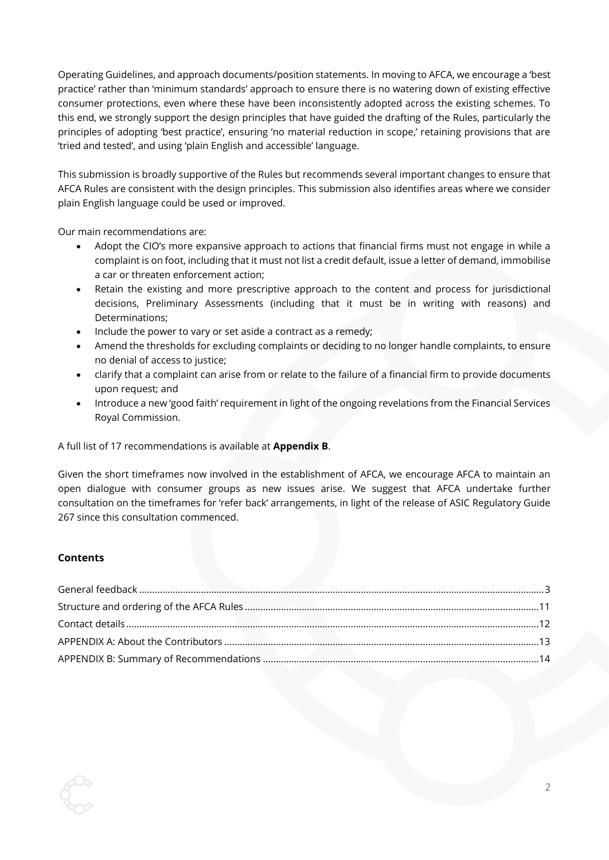Operating Guidelines, and approach documents/position statements. In moving to AFCA, we encourage a 'best practice' rather than 'minimum standards' approach to ensure there is no watering down of existing effective consumer protections, even where these have been inconsistently adopted across the existing schemes. To this end, we strongly support the design principles that have guided the drafting of the Rules, particularly the principles of adopting 'best practice', ensuring 'no material reduction in scope,' retaining provisions that are 'tried and tested', and using 'plain English and accessible' language.

This submission is broadly supportive of the Rules but recommends several important changes to ensure that AFCA Rules are consistent with the design principles. This submission also identifies areas where we consider plain English language could be used or improved.

Our main recommendations are:

- Adopt the CIO's more expansive approach to actions that financial firms must not engage in while a complaint is on foot, including that it must not list a credit default, issue a letter of demand, immobilise a car or threaten enforcement action;
- Retain the existing and more prescriptive approach to the content and process for jurisdictional decisions, Preliminary Assessments (including that it must be in writing with reasons) and Determinations;
- Include the power to vary or set aside a contract as a remedy;
- Amend the thresholds for excluding complaints or deciding to no longer handle complaints, to ensure no denial of access to justice;
- clarify that a complaint can arise from or relate to the failure of a financial firm to provide documents upon request; and
- Introduce a new 'good faith' requirement in light of the ongoing revelations from the Financial Services Royal Commission.

#### A full list of 17 recommendations is available at **Appendix B**.

Given the short timeframes now involved in the establishment of AFCA, we encourage AFCA to maintain an open dialogue with consumer groups as new issues arise. We suggest that AFCA undertake further consultation on the timeframes for 'refer back' arrangements, in light of the release of ASIC Regulatory Guide 267 since this consultation commenced.

#### **Contents**

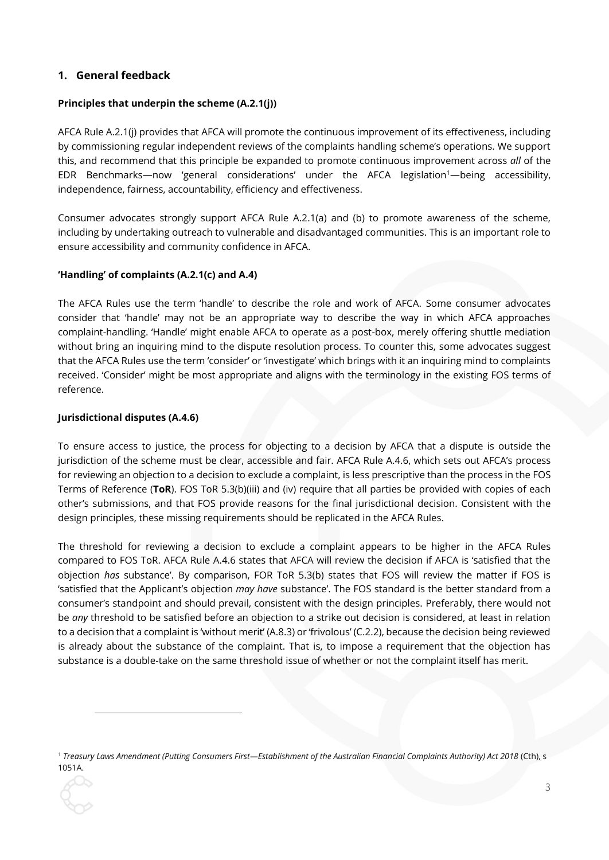# <span id="page-2-0"></span>**1. General feedback**

# **Principles that underpin the scheme (A.2.1(j))**

AFCA Rule A.2.1(j) provides that AFCA will promote the continuous improvement of its effectiveness, including by commissioning regular independent reviews of the complaints handling scheme's operations. We support this, and recommend that this principle be expanded to promote continuous improvement across *all* of the EDR Benchmarks—now 'general considerations' under the AFCA legislation<sup>1</sup>—being accessibility, independence, fairness, accountability, efficiency and effectiveness.

Consumer advocates strongly support AFCA Rule A.2.1(a) and (b) to promote awareness of the scheme, including by undertaking outreach to vulnerable and disadvantaged communities. This is an important role to ensure accessibility and community confidence in AFCA.

# **'Handling' of complaints (A.2.1(c) and A.4)**

The AFCA Rules use the term 'handle' to describe the role and work of AFCA. Some consumer advocates consider that 'handle' may not be an appropriate way to describe the way in which AFCA approaches complaint-handling. 'Handle' might enable AFCA to operate as a post-box, merely offering shuttle mediation without bring an inquiring mind to the dispute resolution process. To counter this, some advocates suggest that the AFCA Rules use the term 'consider' or 'investigate' which brings with it an inquiring mind to complaints received. 'Consider' might be most appropriate and aligns with the terminology in the existing FOS terms of reference.

### **Jurisdictional disputes (A.4.6)**

1

To ensure access to justice, the process for objecting to a decision by AFCA that a dispute is outside the jurisdiction of the scheme must be clear, accessible and fair. AFCA Rule A.4.6, which sets out AFCA's process for reviewing an objection to a decision to exclude a complaint, is less prescriptive than the process in the FOS Terms of Reference (**ToR**). FOS ToR 5.3(b)(iii) and (iv) require that all parties be provided with copies of each other's submissions, and that FOS provide reasons for the final jurisdictional decision. Consistent with the design principles, these missing requirements should be replicated in the AFCA Rules.

The threshold for reviewing a decision to exclude a complaint appears to be higher in the AFCA Rules compared to FOS ToR. AFCA Rule A.4.6 states that AFCA will review the decision if AFCA is 'satisfied that the objection *has* substance'. By comparison, FOR ToR 5.3(b) states that FOS will review the matter if FOS is 'satisfied that the Applicant's objection *may have* substance'. The FOS standard is the better standard from a consumer's standpoint and should prevail, consistent with the design principles. Preferably, there would not be *any* threshold to be satisfied before an objection to a strike out decision is considered, at least in relation to a decision that a complaint is 'without merit' (A.8.3) or 'frivolous' (C.2.2), because the decision being reviewed is already about the substance of the complaint. That is, to impose a requirement that the objection has substance is a double-take on the same threshold issue of whether or not the complaint itself has merit.

<sup>1</sup> *Treasury Laws Amendment (Putting Consumers First—Establishment of the Australian Financial Complaints Authority) Act 2018* (Cth), s 1051A.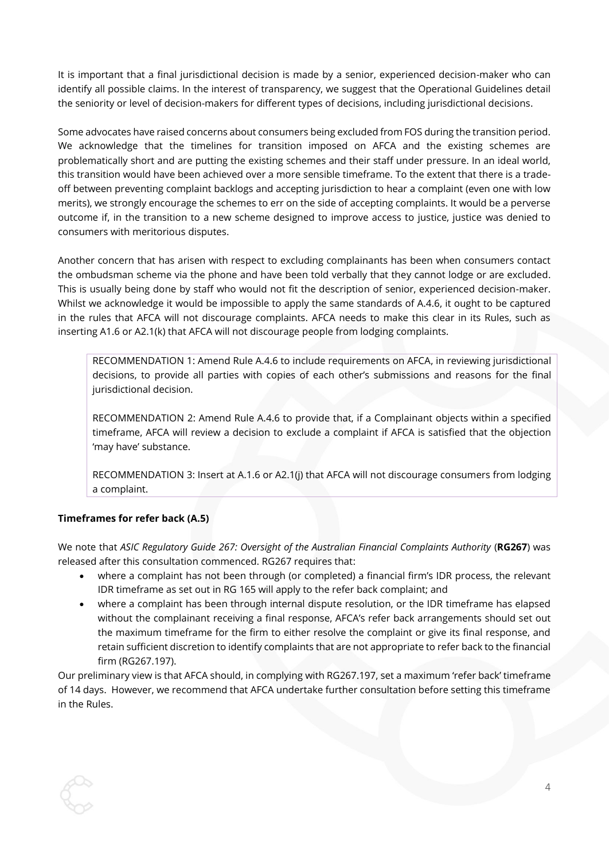It is important that a final jurisdictional decision is made by a senior, experienced decision-maker who can identify all possible claims. In the interest of transparency, we suggest that the Operational Guidelines detail the seniority or level of decision-makers for different types of decisions, including jurisdictional decisions.

Some advocates have raised concerns about consumers being excluded from FOS during the transition period. We acknowledge that the timelines for transition imposed on AFCA and the existing schemes are problematically short and are putting the existing schemes and their staff under pressure. In an ideal world, this transition would have been achieved over a more sensible timeframe. To the extent that there is a tradeoff between preventing complaint backlogs and accepting jurisdiction to hear a complaint (even one with low merits), we strongly encourage the schemes to err on the side of accepting complaints. It would be a perverse outcome if, in the transition to a new scheme designed to improve access to justice, justice was denied to consumers with meritorious disputes.

Another concern that has arisen with respect to excluding complainants has been when consumers contact the ombudsman scheme via the phone and have been told verbally that they cannot lodge or are excluded. This is usually being done by staff who would not fit the description of senior, experienced decision-maker. Whilst we acknowledge it would be impossible to apply the same standards of A.4.6, it ought to be captured in the rules that AFCA will not discourage complaints. AFCA needs to make this clear in its Rules, such as inserting A1.6 or A2.1(k) that AFCA will not discourage people from lodging complaints.

RECOMMENDATION 1: Amend Rule A.4.6 to include requirements on AFCA, in reviewing jurisdictional decisions, to provide all parties with copies of each other's submissions and reasons for the final jurisdictional decision.

RECOMMENDATION 2: Amend Rule A.4.6 to provide that, if a Complainant objects within a specified timeframe, AFCA will review a decision to exclude a complaint if AFCA is satisfied that the objection 'may have' substance.

RECOMMENDATION 3: Insert at A.1.6 or A2.1(j) that AFCA will not discourage consumers from lodging a complaint.

# **Timeframes for refer back (A.5)**

We note that *ASIC Regulatory Guide 267: Oversight of the Australian Financial Complaints Authority* (**RG267**) was released after this consultation commenced. RG267 requires that:

- where a complaint has not been through (or completed) a financial firm's IDR process, the relevant IDR timeframe as set out in RG 165 will apply to the refer back complaint; and
- where a complaint has been through internal dispute resolution, or the IDR timeframe has elapsed without the complainant receiving a final response, AFCA's refer back arrangements should set out the maximum timeframe for the firm to either resolve the complaint or give its final response, and retain sufficient discretion to identify complaints that are not appropriate to refer back to the financial firm (RG267.197).

Our preliminary view is that AFCA should, in complying with RG267.197, set a maximum 'refer back' timeframe of 14 days. However, we recommend that AFCA undertake further consultation before setting this timeframe in the Rules.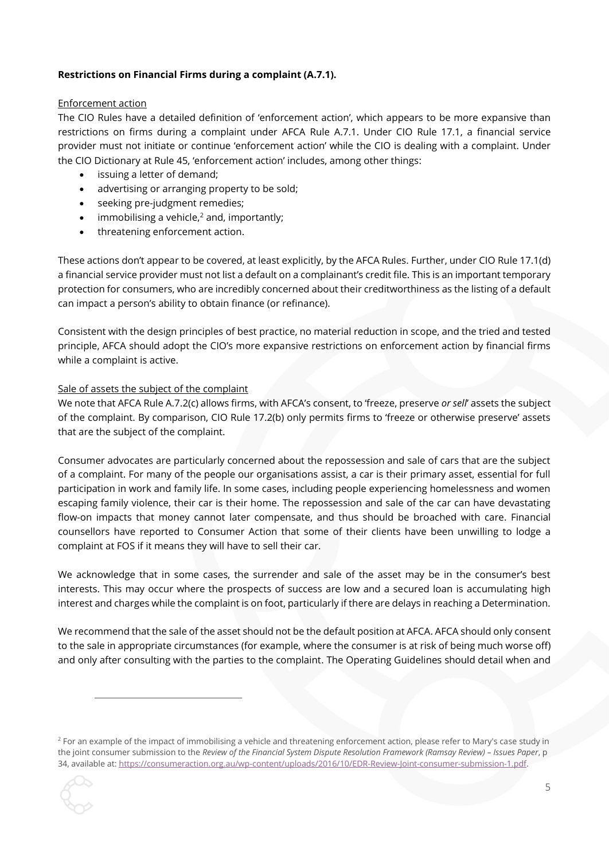### **Restrictions on Financial Firms during a complaint (A.7.1).**

#### Enforcement action

The CIO Rules have a detailed definition of 'enforcement action', which appears to be more expansive than restrictions on firms during a complaint under AFCA Rule A.7.1. Under CIO Rule 17.1, a financial service provider must not initiate or continue 'enforcement action' while the CIO is dealing with a complaint. Under the CIO Dictionary at Rule 45, 'enforcement action' includes, among other things:

- issuing a letter of demand:
- advertising or arranging property to be sold;
- seeking pre-judgment remedies;
- immobilising a vehicle, $<sup>2</sup>$  and, importantly:</sup>
- threatening enforcement action.

These actions don't appear to be covered, at least explicitly, by the AFCA Rules. Further, under CIO Rule 17.1(d) a financial service provider must not list a default on a complainant's credit file. This is an important temporary protection for consumers, who are incredibly concerned about their creditworthiness as the listing of a default can impact a person's ability to obtain finance (or refinance).

Consistent with the design principles of best practice, no material reduction in scope, and the tried and tested principle, AFCA should adopt the CIO's more expansive restrictions on enforcement action by financial firms while a complaint is active.

#### Sale of assets the subject of the complaint

We note that AFCA Rule A.7.2(c) allows firms, with AFCA's consent, to 'freeze, preserve *or sell*' assets the subject of the complaint. By comparison, CIO Rule 17.2(b) only permits firms to 'freeze or otherwise preserve' assets that are the subject of the complaint.

Consumer advocates are particularly concerned about the repossession and sale of cars that are the subject of a complaint. For many of the people our organisations assist, a car is their primary asset, essential for full participation in work and family life. In some cases, including people experiencing homelessness and women escaping family violence, their car is their home. The repossession and sale of the car can have devastating flow-on impacts that money cannot later compensate, and thus should be broached with care. Financial counsellors have reported to Consumer Action that some of their clients have been unwilling to lodge a complaint at FOS if it means they will have to sell their car.

We acknowledge that in some cases, the surrender and sale of the asset may be in the consumer's best interests. This may occur where the prospects of success are low and a secured loan is accumulating high interest and charges while the complaint is on foot, particularly if there are delays in reaching a Determination.

We recommend that the sale of the asset should not be the default position at AFCA. AFCA should only consent to the sale in appropriate circumstances (for example, where the consumer is at risk of being much worse off) and only after consulting with the parties to the complaint. The Operating Guidelines should detail when and

<sup>&</sup>lt;sup>2</sup> For an example of the impact of immobilising a vehicle and threatening enforcement action, please refer to Mary's case study in the joint consumer submission to the *Review of the Financial System Dispute Resolution Framework (Ramsay Review) - Issues Paper*, p 34, available at[: https://consumeraction.org.au/wp-content/uploads/2016/10/EDR-Review-Joint-consumer-submission-1.pdf.](https://consumeraction.org.au/wp-content/uploads/2016/10/EDR-Review-Joint-consumer-submission-1.pdf)



 $\overline{a}$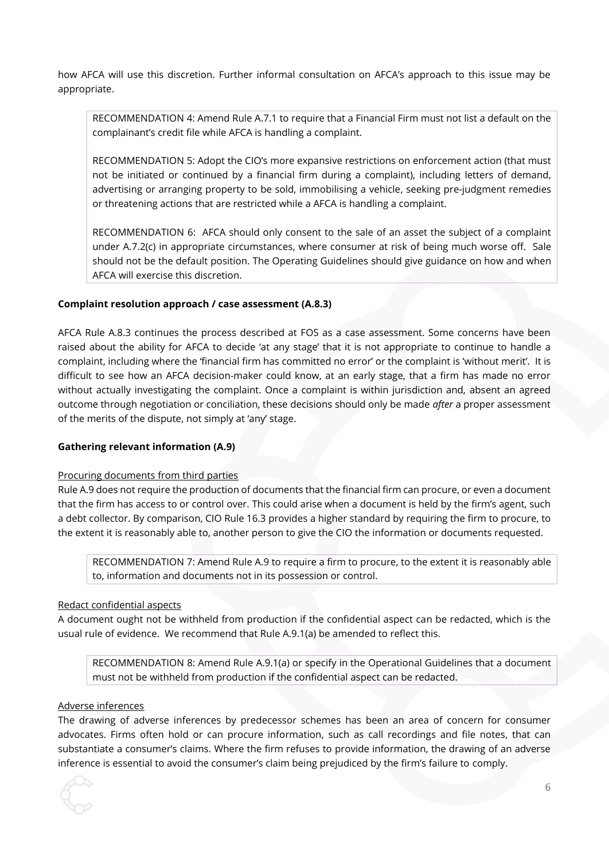how AFCA will use this discretion. Further informal consultation on AFCA's approach to this issue may be appropriate.

RECOMMENDATION 4: Amend Rule A.7.1 to require that a Financial Firm must not list a default on the complainant's credit file while AFCA is handling a complaint.

RECOMMENDATION 5: Adopt the CIO's more expansive restrictions on enforcement action (that must not be initiated or continued by a financial firm during a complaint), including letters of demand, advertising or arranging property to be sold, immobilising a vehicle, seeking pre-judgment remedies or threatening actions that are restricted while a AFCA is handling a complaint.

RECOMMENDATION 6: AFCA should only consent to the sale of an asset the subject of a complaint under A.7.2(c) in appropriate circumstances, where consumer at risk of being much worse off. Sale should not be the default position. The Operating Guidelines should give guidance on how and when AFCA will exercise this discretion.

#### **Complaint resolution approach / case assessment (A.8.3)**

AFCA Rule A.8.3 continues the process described at FOS as a case assessment. Some concerns have been raised about the ability for AFCA to decide 'at any stage' that it is not appropriate to continue to handle a complaint, including where the 'financial firm has committed no error' or the complaint is 'without merit'. It is difficult to see how an AFCA decision-maker could know, at an early stage, that a firm has made no error without actually investigating the complaint. Once a complaint is within jurisdiction and, absent an agreed outcome through negotiation or conciliation, these decisions should only be made *after* a proper assessment of the merits of the dispute, not simply at 'any' stage.

#### **Gathering relevant information (A.9)**

#### Procuring documents from third parties

Rule A.9 does not require the production of documents that the financial firm can procure, or even a document that the firm has access to or control over. This could arise when a document is held by the firm's agent, such a debt collector. By comparison, CIO Rule 16.3 provides a higher standard by requiring the firm to procure, to the extent it is reasonably able to, another person to give the CIO the information or documents requested.

RECOMMENDATION 7: Amend Rule A.9 to require a firm to procure, to the extent it is reasonably able to, information and documents not in its possession or control.

#### Redact confidential aspects

A document ought not be withheld from production if the confidential aspect can be redacted, which is the usual rule of evidence. We recommend that Rule A.9.1(a) be amended to reflect this.

RECOMMENDATION 8: Amend Rule A.9.1(a) or specify in the Operational Guidelines that a document must not be withheld from production if the confidential aspect can be redacted.

#### Adverse inferences

The drawing of adverse inferences by predecessor schemes has been an area of concern for consumer advocates. Firms often hold or can procure information, such as call recordings and file notes, that can substantiate a consumer's claims. Where the firm refuses to provide information, the drawing of an adverse inference is essential to avoid the consumer's claim being prejudiced by the firm's failure to comply.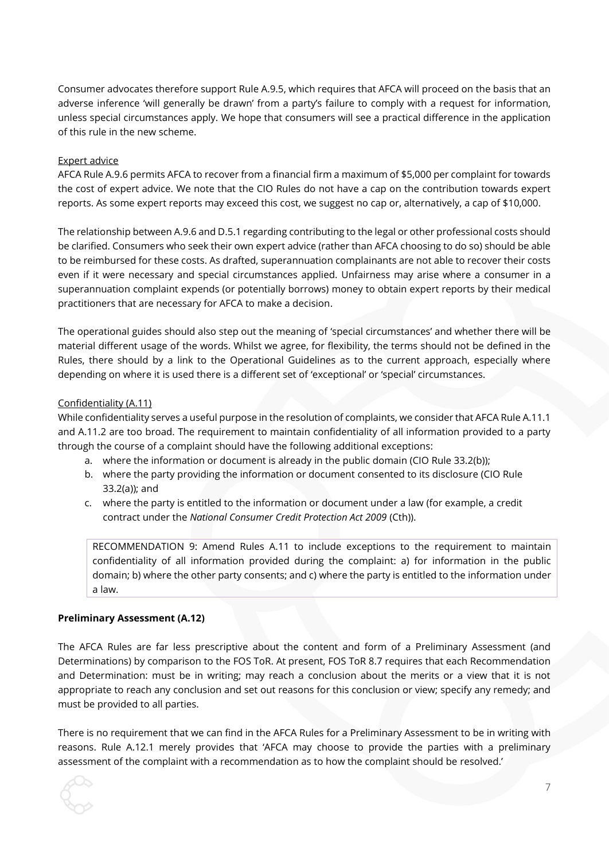Consumer advocates therefore support Rule A.9.5, which requires that AFCA will proceed on the basis that an adverse inference 'will generally be drawn' from a party's failure to comply with a request for information, unless special circumstances apply. We hope that consumers will see a practical difference in the application of this rule in the new scheme.

#### Expert advice

AFCA Rule A.9.6 permits AFCA to recover from a financial firm a maximum of \$5,000 per complaint for towards the cost of expert advice. We note that the CIO Rules do not have a cap on the contribution towards expert reports. As some expert reports may exceed this cost, we suggest no cap or, alternatively, a cap of \$10,000.

The relationship between A.9.6 and D.5.1 regarding contributing to the legal or other professional costs should be clarified. Consumers who seek their own expert advice (rather than AFCA choosing to do so) should be able to be reimbursed for these costs. As drafted, superannuation complainants are not able to recover their costs even if it were necessary and special circumstances applied. Unfairness may arise where a consumer in a superannuation complaint expends (or potentially borrows) money to obtain expert reports by their medical practitioners that are necessary for AFCA to make a decision.

The operational guides should also step out the meaning of 'special circumstances' and whether there will be material different usage of the words. Whilst we agree, for flexibility, the terms should not be defined in the Rules, there should by a link to the Operational Guidelines as to the current approach, especially where depending on where it is used there is a different set of 'exceptional' or 'special' circumstances.

#### Confidentiality (A.11)

While confidentiality serves a useful purpose in the resolution of complaints, we consider that AFCA Rule A.11.1 and A.11.2 are too broad. The requirement to maintain confidentiality of all information provided to a party through the course of a complaint should have the following additional exceptions:

- a. where the information or document is already in the public domain (CIO Rule 33.2(b));
- b. where the party providing the information or document consented to its disclosure (CIO Rule 33.2(a)); and
- c. where the party is entitled to the information or document under a law (for example, a credit contract under the *National Consumer Credit Protection Act 2009* (Cth)).

RECOMMENDATION 9: Amend Rules A.11 to include exceptions to the requirement to maintain confidentiality of all information provided during the complaint: a) for information in the public domain; b) where the other party consents; and c) where the party is entitled to the information under a law.

#### **Preliminary Assessment (A.12)**

The AFCA Rules are far less prescriptive about the content and form of a Preliminary Assessment (and Determinations) by comparison to the FOS ToR. At present, FOS ToR 8.7 requires that each Recommendation and Determination: must be in writing; may reach a conclusion about the merits or a view that it is not appropriate to reach any conclusion and set out reasons for this conclusion or view; specify any remedy; and must be provided to all parties.

There is no requirement that we can find in the AFCA Rules for a Preliminary Assessment to be in writing with reasons. Rule A.12.1 merely provides that 'AFCA may choose to provide the parties with a preliminary assessment of the complaint with a recommendation as to how the complaint should be resolved.'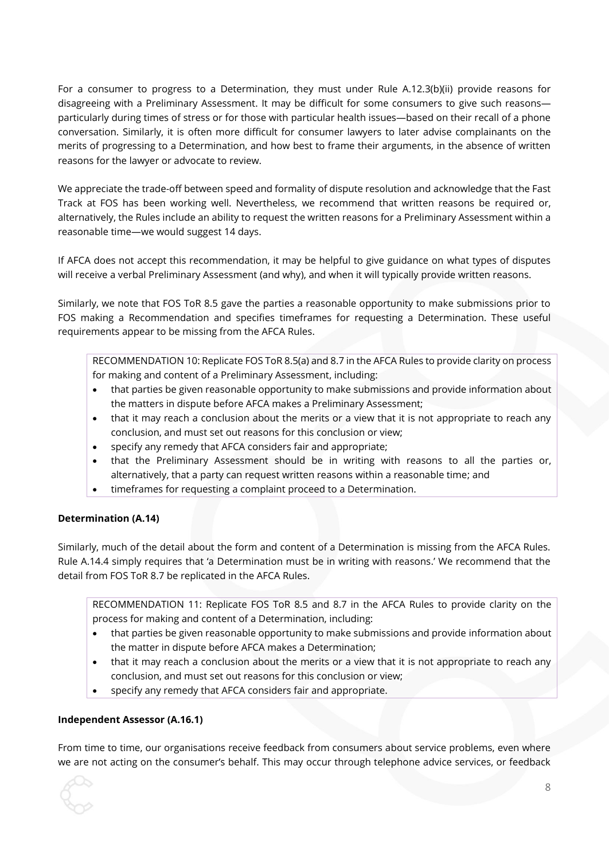For a consumer to progress to a Determination, they must under Rule A.12.3(b)(ii) provide reasons for disagreeing with a Preliminary Assessment. It may be difficult for some consumers to give such reasons particularly during times of stress or for those with particular health issues—based on their recall of a phone conversation. Similarly, it is often more difficult for consumer lawyers to later advise complainants on the merits of progressing to a Determination, and how best to frame their arguments, in the absence of written reasons for the lawyer or advocate to review.

We appreciate the trade-off between speed and formality of dispute resolution and acknowledge that the Fast Track at FOS has been working well. Nevertheless, we recommend that written reasons be required or, alternatively, the Rules include an ability to request the written reasons for a Preliminary Assessment within a reasonable time—we would suggest 14 days.

If AFCA does not accept this recommendation, it may be helpful to give guidance on what types of disputes will receive a verbal Preliminary Assessment (and why), and when it will typically provide written reasons.

Similarly, we note that FOS ToR 8.5 gave the parties a reasonable opportunity to make submissions prior to FOS making a Recommendation and specifies timeframes for requesting a Determination. These useful requirements appear to be missing from the AFCA Rules.

RECOMMENDATION 10: Replicate FOS ToR 8.5(a) and 8.7 in the AFCA Rules to provide clarity on process for making and content of a Preliminary Assessment, including:

- that parties be given reasonable opportunity to make submissions and provide information about the matters in dispute before AFCA makes a Preliminary Assessment;
- that it may reach a conclusion about the merits or a view that it is not appropriate to reach any conclusion, and must set out reasons for this conclusion or view;
- specify any remedy that AFCA considers fair and appropriate;
- that the Preliminary Assessment should be in writing with reasons to all the parties or, alternatively, that a party can request written reasons within a reasonable time; and
- timeframes for requesting a complaint proceed to a Determination.

# **Determination (A.14)**

Similarly, much of the detail about the form and content of a Determination is missing from the AFCA Rules. Rule A.14.4 simply requires that 'a Determination must be in writing with reasons.' We recommend that the detail from FOS ToR 8.7 be replicated in the AFCA Rules.

RECOMMENDATION 11: Replicate FOS ToR 8.5 and 8.7 in the AFCA Rules to provide clarity on the process for making and content of a Determination, including:

- that parties be given reasonable opportunity to make submissions and provide information about the matter in dispute before AFCA makes a Determination;
- that it may reach a conclusion about the merits or a view that it is not appropriate to reach any conclusion, and must set out reasons for this conclusion or view;
- specify any remedy that AFCA considers fair and appropriate.

# **Independent Assessor (A.16.1)**

From time to time, our organisations receive feedback from consumers about service problems, even where we are not acting on the consumer's behalf. This may occur through telephone advice services, or feedback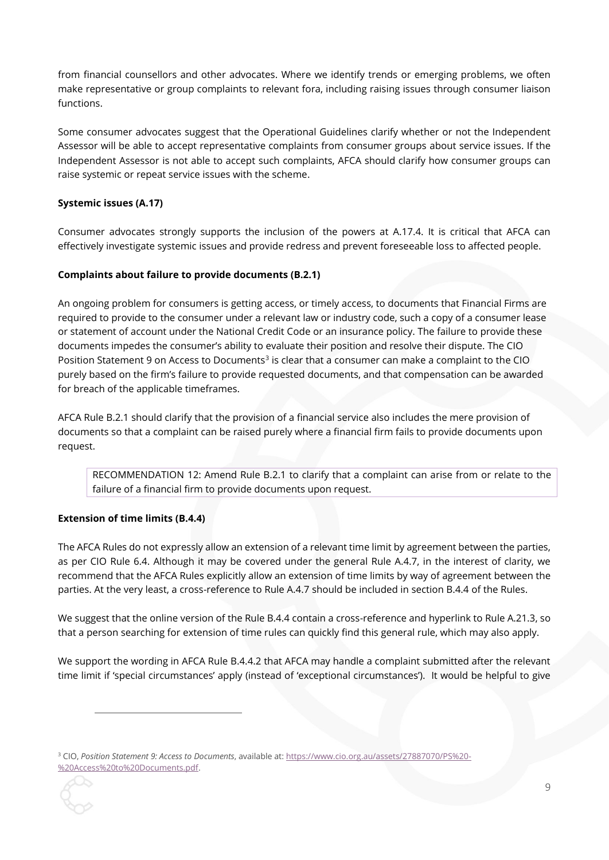from financial counsellors and other advocates. Where we identify trends or emerging problems, we often make representative or group complaints to relevant fora, including raising issues through consumer liaison functions.

Some consumer advocates suggest that the Operational Guidelines clarify whether or not the Independent Assessor will be able to accept representative complaints from consumer groups about service issues. If the Independent Assessor is not able to accept such complaints, AFCA should clarify how consumer groups can raise systemic or repeat service issues with the scheme.

### **Systemic issues (A.17)**

Consumer advocates strongly supports the inclusion of the powers at A.17.4. It is critical that AFCA can effectively investigate systemic issues and provide redress and prevent foreseeable loss to affected people.

### **Complaints about failure to provide documents (B.2.1)**

An ongoing problem for consumers is getting access, or timely access, to documents that Financial Firms are required to provide to the consumer under a relevant law or industry code, such a copy of a consumer lease or statement of account under the National Credit Code or an insurance policy. The failure to provide these documents impedes the consumer's ability to evaluate their position and resolve their dispute. The CIO Position Statement 9 on Access to Documents<sup>3</sup> is clear that a consumer can make a complaint to the CIO purely based on the firm's failure to provide requested documents, and that compensation can be awarded for breach of the applicable timeframes.

AFCA Rule B.2.1 should clarify that the provision of a financial service also includes the mere provision of documents so that a complaint can be raised purely where a financial firm fails to provide documents upon request.

RECOMMENDATION 12: Amend Rule B.2.1 to clarify that a complaint can arise from or relate to the failure of a financial firm to provide documents upon request.

#### **Extension of time limits (B.4.4)**

The AFCA Rules do not expressly allow an extension of a relevant time limit by agreement between the parties, as per CIO Rule 6.4. Although it may be covered under the general Rule A.4.7, in the interest of clarity, we recommend that the AFCA Rules explicitly allow an extension of time limits by way of agreement between the parties. At the very least, a cross-reference to Rule A.4.7 should be included in section B.4.4 of the Rules.

We suggest that the online version of the Rule B.4.4 contain a cross-reference and hyperlink to Rule A.21.3, so that a person searching for extension of time rules can quickly find this general rule, which may also apply.

We support the wording in AFCA Rule B.4.4.2 that AFCA may handle a complaint submitted after the relevant time limit if 'special circumstances' apply (instead of 'exceptional circumstances'). It would be helpful to give

<sup>3</sup> CIO, *Position Statement 9: Access to Documents*, available at[: https://www.cio.org.au/assets/27887070/PS%20-](https://www.cio.org.au/assets/27887070/PS%20-%20Access%20to%20Documents.pdf) [%20Access%20to%20Documents.pdf.](https://www.cio.org.au/assets/27887070/PS%20-%20Access%20to%20Documents.pdf)

1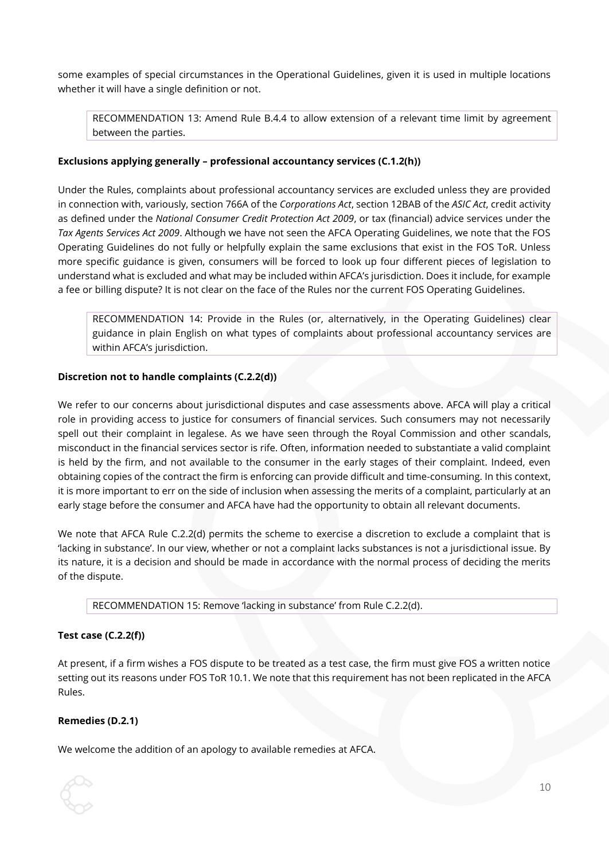some examples of special circumstances in the Operational Guidelines, given it is used in multiple locations whether it will have a single definition or not.

RECOMMENDATION 13: Amend Rule B.4.4 to allow extension of a relevant time limit by agreement between the parties.

### **Exclusions applying generally – professional accountancy services (C.1.2(h))**

Under the Rules, complaints about professional accountancy services are excluded unless they are provided in connection with, variously, section 766A of the *Corporations Act*, section 12BAB of the *ASIC Act*, credit activity as defined under the *National Consumer Credit Protection Act 2009*, or tax (financial) advice services under the *Tax Agents Services Act 2009*. Although we have not seen the AFCA Operating Guidelines, we note that the FOS Operating Guidelines do not fully or helpfully explain the same exclusions that exist in the FOS ToR. Unless more specific guidance is given, consumers will be forced to look up four different pieces of legislation to understand what is excluded and what may be included within AFCA's jurisdiction. Does it include, for example a fee or billing dispute? It is not clear on the face of the Rules nor the current FOS Operating Guidelines.

RECOMMENDATION 14: Provide in the Rules (or, alternatively, in the Operating Guidelines) clear guidance in plain English on what types of complaints about professional accountancy services are within AFCA's jurisdiction.

### **Discretion not to handle complaints (C.2.2(d))**

We refer to our concerns about jurisdictional disputes and case assessments above. AFCA will play a critical role in providing access to justice for consumers of financial services. Such consumers may not necessarily spell out their complaint in legalese. As we have seen through the Royal Commission and other scandals, misconduct in the financial services sector is rife. Often, information needed to substantiate a valid complaint is held by the firm, and not available to the consumer in the early stages of their complaint. Indeed, even obtaining copies of the contract the firm is enforcing can provide difficult and time-consuming. In this context, it is more important to err on the side of inclusion when assessing the merits of a complaint, particularly at an early stage before the consumer and AFCA have had the opportunity to obtain all relevant documents.

We note that AFCA Rule C.2.2(d) permits the scheme to exercise a discretion to exclude a complaint that is 'lacking in substance'. In our view, whether or not a complaint lacks substances is not a jurisdictional issue. By its nature, it is a decision and should be made in accordance with the normal process of deciding the merits of the dispute.

RECOMMENDATION 15: Remove 'lacking in substance' from Rule C.2.2(d).

#### **Test case (C.2.2(f))**

At present, if a firm wishes a FOS dispute to be treated as a test case, the firm must give FOS a written notice setting out its reasons under FOS ToR 10.1. We note that this requirement has not been replicated in the AFCA Rules.

#### **Remedies (D.2.1)**

We welcome the addition of an apology to available remedies at AFCA.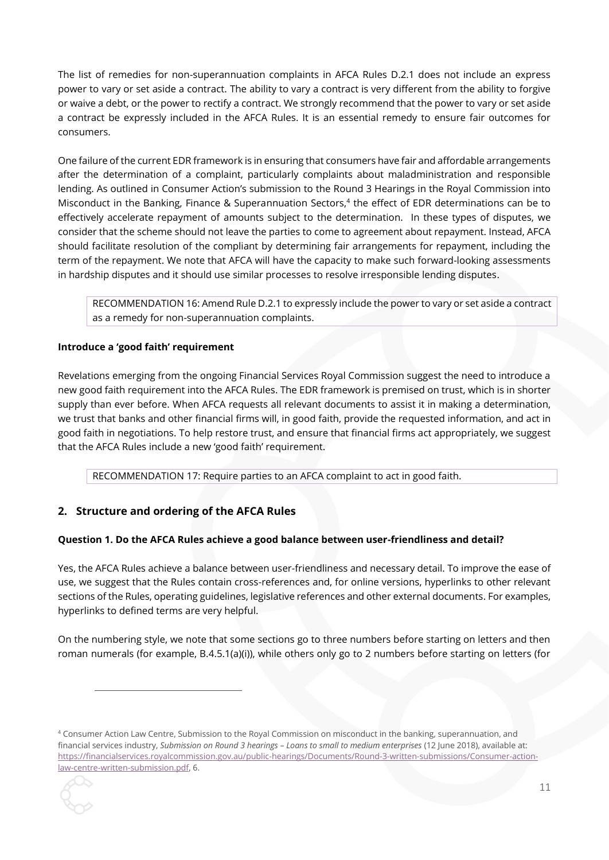The list of remedies for non-superannuation complaints in AFCA Rules D.2.1 does not include an express power to vary or set aside a contract. The ability to vary a contract is very different from the ability to forgive or waive a debt, or the power to rectify a contract. We strongly recommend that the power to vary or set aside a contract be expressly included in the AFCA Rules. It is an essential remedy to ensure fair outcomes for consumers.

One failure of the current EDR framework is in ensuring that consumers have fair and affordable arrangements after the determination of a complaint, particularly complaints about maladministration and responsible lending. As outlined in Consumer Action's submission to the Round 3 Hearings in the Royal Commission into Misconduct in the Banking, Finance & Superannuation Sectors, 4 the effect of EDR determinations can be to effectively accelerate repayment of amounts subject to the determination. In these types of disputes, we consider that the scheme should not leave the parties to come to agreement about repayment. Instead, AFCA should facilitate resolution of the compliant by determining fair arrangements for repayment, including the term of the repayment. We note that AFCA will have the capacity to make such forward-looking assessments in hardship disputes and it should use similar processes to resolve irresponsible lending disputes.

RECOMMENDATION 16: Amend Rule D.2.1 to expressly include the power to vary or set aside a contract as a remedy for non-superannuation complaints.

# **Introduce a 'good faith' requirement**

Revelations emerging from the ongoing Financial Services Royal Commission suggest the need to introduce a new good faith requirement into the AFCA Rules. The EDR framework is premised on trust, which is in shorter supply than ever before. When AFCA requests all relevant documents to assist it in making a determination, we trust that banks and other financial firms will, in good faith, provide the requested information, and act in good faith in negotiations. To help restore trust, and ensure that financial firms act appropriately, we suggest that the AFCA Rules include a new 'good faith' requirement.

RECOMMENDATION 17: Require parties to an AFCA complaint to act in good faith.

# <span id="page-10-0"></span>**2. Structure and ordering of the AFCA Rules**

# **Question 1. Do the AFCA Rules achieve a good balance between user-friendliness and detail?**

Yes, the AFCA Rules achieve a balance between user-friendliness and necessary detail. To improve the ease of use, we suggest that the Rules contain cross-references and, for online versions, hyperlinks to other relevant sections of the Rules, operating guidelines, legislative references and other external documents. For examples, hyperlinks to defined terms are very helpful.

On the numbering style, we note that some sections go to three numbers before starting on letters and then roman numerals (for example, B.4.5.1(a)(i)), while others only go to 2 numbers before starting on letters (for

 $\overline{a}$ 

<sup>4</sup> Consumer Action Law Centre, Submission to the Royal Commission on misconduct in the banking, superannuation, and financial services industry, *Submission on Round 3 hearings – Loans to small to medium enterprises* (12 June 2018), available at: [https://financialservices.royalcommission.gov.au/public-hearings/Documents/Round-3-written-submissions/Consumer-action](https://financialservices.royalcommission.gov.au/public-hearings/Documents/Round-3-written-submissions/Consumer-action-law-centre-written-submission.pdf)[law-centre-written-submission.pdf,](https://financialservices.royalcommission.gov.au/public-hearings/Documents/Round-3-written-submissions/Consumer-action-law-centre-written-submission.pdf) 6.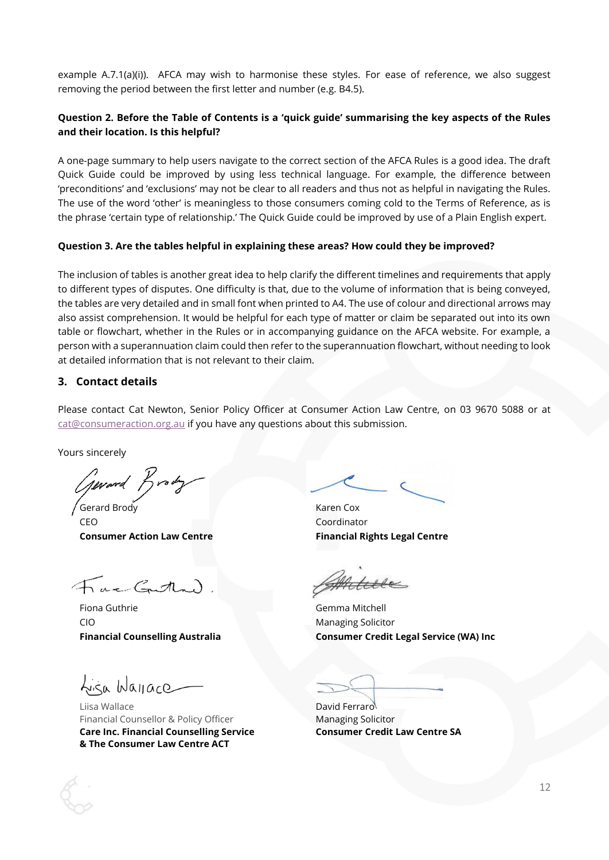example A.7.1(a)(i)). AFCA may wish to harmonise these styles. For ease of reference, we also suggest removing the period between the first letter and number (e.g. B4.5).

# **Question 2. Before the Table of Contents is a 'quick guide' summarising the key aspects of the Rules and their location. Is this helpful?**

A one-page summary to help users navigate to the correct section of the AFCA Rules is a good idea. The draft Quick Guide could be improved by using less technical language. For example, the difference between 'preconditions' and 'exclusions' may not be clear to all readers and thus not as helpful in navigating the Rules. The use of the word 'other' is meaningless to those consumers coming cold to the Terms of Reference, as is the phrase 'certain type of relationship.' The Quick Guide could be improved by use of a Plain English expert.

### **Question 3. Are the tables helpful in explaining these areas? How could they be improved?**

The inclusion of tables is another great idea to help clarify the different timelines and requirements that apply to different types of disputes. One difficulty is that, due to the volume of information that is being conveyed, the tables are very detailed and in small font when printed to A4. The use of colour and directional arrows may also assist comprehension. It would be helpful for each type of matter or claim be separated out into its own table or flowchart, whether in the Rules or in accompanying guidance on the AFCA website. For example, a person with a superannuation claim could then refer to the superannuation flowchart, without needing to look at detailed information that is not relevant to their claim.

### <span id="page-11-0"></span>**3. Contact details**

Please contact Cat Newton, Senior Policy Officer at Consumer Action Law Centre, on 03 9670 5088 or at [cat@consumeraction.org.au](mailto:cat@consumeraction.org.au) if you have any questions about this submission.

Yours sincerely

Gerard Brody

Gerard Brody **Karen Cox** CEO Coordinator

Fac Gutha)

Fiona Guthrie Gemma Mitchell CIO Managing Solicitor

Lisa Wayace

Liisa Wallace **David Ferraro** Financial Counsellor & Policy Officer Managing Solicitor **Care Inc. Financial Counselling Service Consumer Credit Law Centre SA & The Consumer Law Centre ACT**

**Consumer Action Law Centre Financial Rights Legal Centre** 

**Financial Counselling Australia Consumer Credit Legal Service (WA) Inc**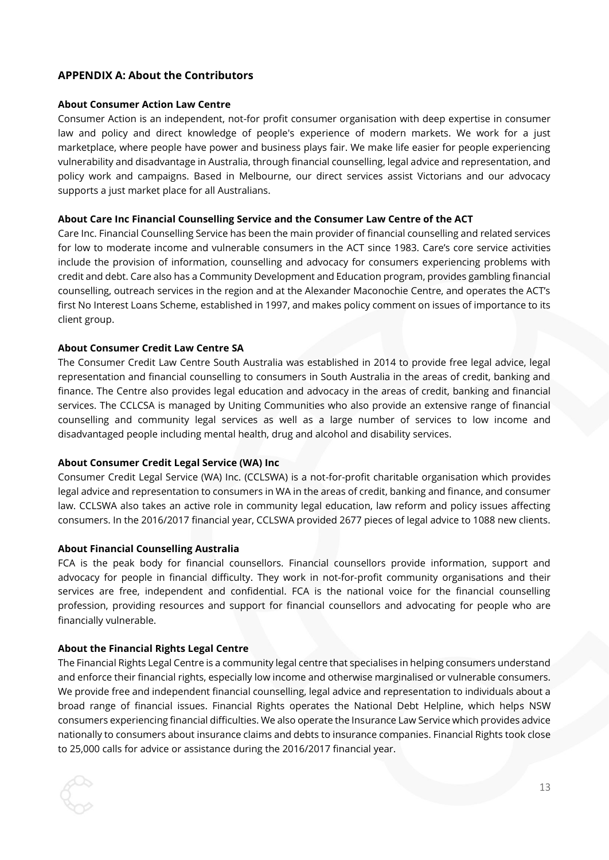# <span id="page-12-0"></span>**APPENDIX A: About the Contributors**

#### **About Consumer Action Law Centre**

Consumer Action is an independent, not-for profit consumer organisation with deep expertise in consumer law and policy and direct knowledge of people's experience of modern markets. We work for a just marketplace, where people have power and business plays fair. We make life easier for people experiencing vulnerability and disadvantage in Australia, through financial counselling, legal advice and representation, and policy work and campaigns. Based in Melbourne, our direct services assist Victorians and our advocacy supports a just market place for all Australians.

#### **About Care Inc Financial Counselling Service and the Consumer Law Centre of the ACT**

Care Inc. Financial Counselling Service has been the main provider of financial counselling and related services for low to moderate income and vulnerable consumers in the ACT since 1983. Care's core service activities include the provision of information, counselling and advocacy for consumers experiencing problems with credit and debt. Care also has a Community Development and Education program, provides gambling financial counselling, outreach services in the region and at the Alexander Maconochie Centre, and operates the ACT's first No Interest Loans Scheme, established in 1997, and makes policy comment on issues of importance to its client group.

### **About Consumer Credit Law Centre SA**

The Consumer Credit Law Centre South Australia was established in 2014 to provide free legal advice, legal representation and financial counselling to consumers in South Australia in the areas of credit, banking and finance. The Centre also provides legal education and advocacy in the areas of credit, banking and financial services. The CCLCSA is managed by Uniting Communities who also provide an extensive range of financial counselling and community legal services as well as a large number of services to low income and disadvantaged people including mental health, drug and alcohol and disability services.

# **About Consumer Credit Legal Service (WA) Inc**

Consumer Credit Legal Service (WA) Inc. (CCLSWA) is a not-for-profit charitable organisation which provides legal advice and representation to consumers in WA in the areas of credit, banking and finance, and consumer law. CCLSWA also takes an active role in community legal education, law reform and policy issues affecting consumers. In the 2016/2017 financial year, CCLSWA provided 2677 pieces of legal advice to 1088 new clients.

#### **About Financial Counselling Australia**

FCA is the peak body for financial counsellors. Financial counsellors provide information, support and advocacy for people in financial difficulty. They work in not-for-profit community organisations and their services are free, independent and confidential. FCA is the national voice for the financial counselling profession, providing resources and support for financial counsellors and advocating for people who are financially vulnerable.

#### **About the Financial Rights Legal Centre**

The Financial Rights Legal Centre is a community legal centre that specialises in helping consumers understand and enforce their financial rights, especially low income and otherwise marginalised or vulnerable consumers. We provide free and independent financial counselling, legal advice and representation to individuals about a broad range of financial issues. Financial Rights operates the National Debt Helpline, which helps NSW consumers experiencing financial difficulties. We also operate the Insurance Law Service which provides advice nationally to consumers about insurance claims and debts to insurance companies. Financial Rights took close to 25,000 calls for advice or assistance during the 2016/2017 financial year.

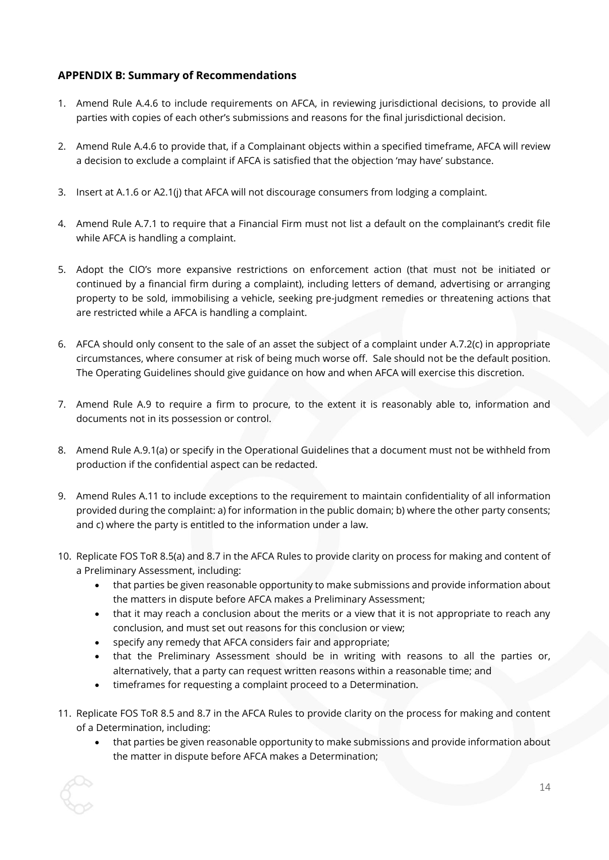# <span id="page-13-0"></span>**APPENDIX B: Summary of Recommendations**

- 1. Amend Rule A.4.6 to include requirements on AFCA, in reviewing jurisdictional decisions, to provide all parties with copies of each other's submissions and reasons for the final jurisdictional decision.
- 2. Amend Rule A.4.6 to provide that, if a Complainant objects within a specified timeframe, AFCA will review a decision to exclude a complaint if AFCA is satisfied that the objection 'may have' substance.
- 3. Insert at A.1.6 or A2.1(j) that AFCA will not discourage consumers from lodging a complaint.
- 4. Amend Rule A.7.1 to require that a Financial Firm must not list a default on the complainant's credit file while AFCA is handling a complaint.
- 5. Adopt the CIO's more expansive restrictions on enforcement action (that must not be initiated or continued by a financial firm during a complaint), including letters of demand, advertising or arranging property to be sold, immobilising a vehicle, seeking pre-judgment remedies or threatening actions that are restricted while a AFCA is handling a complaint.
- 6. AFCA should only consent to the sale of an asset the subject of a complaint under A.7.2(c) in appropriate circumstances, where consumer at risk of being much worse off. Sale should not be the default position. The Operating Guidelines should give guidance on how and when AFCA will exercise this discretion.
- 7. Amend Rule A.9 to require a firm to procure, to the extent it is reasonably able to, information and documents not in its possession or control.
- 8. Amend Rule A.9.1(a) or specify in the Operational Guidelines that a document must not be withheld from production if the confidential aspect can be redacted.
- 9. Amend Rules A.11 to include exceptions to the requirement to maintain confidentiality of all information provided during the complaint: a) for information in the public domain; b) where the other party consents; and c) where the party is entitled to the information under a law.
- 10. Replicate FOS ToR 8.5(a) and 8.7 in the AFCA Rules to provide clarity on process for making and content of a Preliminary Assessment, including:
	- that parties be given reasonable opportunity to make submissions and provide information about the matters in dispute before AFCA makes a Preliminary Assessment;
	- that it may reach a conclusion about the merits or a view that it is not appropriate to reach any conclusion, and must set out reasons for this conclusion or view;
	- specify any remedy that AFCA considers fair and appropriate;
	- that the Preliminary Assessment should be in writing with reasons to all the parties or, alternatively, that a party can request written reasons within a reasonable time; and
	- timeframes for requesting a complaint proceed to a Determination.
- 11. Replicate FOS ToR 8.5 and 8.7 in the AFCA Rules to provide clarity on the process for making and content of a Determination, including:
	- that parties be given reasonable opportunity to make submissions and provide information about the matter in dispute before AFCA makes a Determination;